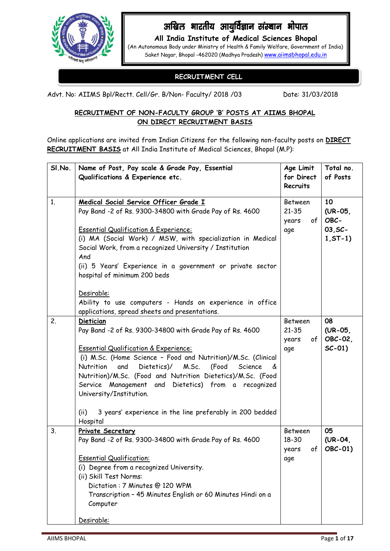

# अखिल भारतीय आयुर्विज्ञान संस्थान भोपाल

**All India Institute of Medical Sciences Bhopal** (An Autonomous Body under Ministry of Health & Family Welfare, Government of India) Saket Nagar, Bhopal -462020 (Madhya Pradesh) [www.aiimsbhopal.edu.in](http://www.aiimsbhopal.edu.in/)

## **RECRUITMENT CELL**

Advt. No: AIIMS Bpl/Rectt. Cell/Gr. B/Non- Faculty/ 2018 /03 Date: 31/03/2018

#### **RECRUITMENT OF NON-FACULTY GROUP 'B' POSTS AT AIIMS BHOPAL ON DIRECT RECRUITMENT BASIS**

Online applications are invited from Indian Citizens for the following non-faculty posts on **DIRECT RECRUITMENT BASIS** at All India Institute of Medical Sciences, Bhopal (M.P):

| SI.No.         | Name of Post, Pay scale & Grade Pay, Essential                                 | Age Limit                | Total no.  |
|----------------|--------------------------------------------------------------------------------|--------------------------|------------|
|                | Qualifications & Experience etc.                                               | for Direct               | of Posts   |
|                |                                                                                | Recruits                 |            |
| 1 <sub>1</sub> | Medical Social Service Officer Grade I                                         | <b>Between</b>           | 10         |
|                | Pay Band -2 of Rs. 9300-34800 with Grade Pay of Rs. 4600                       | $21 - 35$                | $(UR-05)$  |
|                |                                                                                | of <sub>l</sub><br>years | OBC-       |
|                | <b>Essential Qualification &amp; Experience:</b>                               | age                      | $03, SC-$  |
|                | (i) MA (Social Work) / MSW, with specialization in Medical                     |                          | $1, ST-1)$ |
|                | Social Work, from a recognized University / Institution                        |                          |            |
|                | And                                                                            |                          |            |
|                | (ii) 5 Years' Experience in a government or private sector                     |                          |            |
|                | hospital of minimum 200 beds                                                   |                          |            |
|                | Desirable:                                                                     |                          |            |
|                | Ability to use computers - Hands on experience in office                       |                          |            |
|                | applications, spread sheets and presentations.                                 |                          |            |
| 2.             | <b>Dietician</b>                                                               | <b>Between</b>           | 08         |
|                | Pay Band -2 of Rs. 9300-34800 with Grade Pay of Rs. 4600                       | $21 - 35$                | (UR-05,    |
|                |                                                                                | of <sub>l</sub><br>years | OBC-02,    |
|                | <b>Essential Qualification &amp; Experience:</b>                               | age                      | $SC-01)$   |
|                | (i) M.Sc. (Home Science - Food and Nutrition)/M.Sc. (Clinical                  |                          |            |
|                | Dietetics)/<br>M.Sc.<br>(Food<br>Nutrition<br>and<br>Science<br>&              |                          |            |
|                | Nutrition)/M.Sc. (Food and Nutrition Dietetics)/M.Sc. (Food                    |                          |            |
|                | Service Management and Dietetics) from a recognized<br>University/Institution. |                          |            |
|                |                                                                                |                          |            |
|                | 3 years' experience in the line preferably in 200 bedded<br>(ii)               |                          |            |
|                | Hospital                                                                       |                          |            |
| 3.             | Private Secretary                                                              | Between                  | 05         |
|                | Pay Band -2 of Rs. 9300-34800 with Grade Pay of Rs. 4600                       | $18 - 30$                | $(UR-04)$  |
|                |                                                                                | of<br>years              | OBC-01)    |
|                | <b>Essential Qualification:</b>                                                | age                      |            |
|                | (i) Degree from a recognized University.                                       |                          |            |
|                | (ii) Skill Test Norms:                                                         |                          |            |
|                | Dictation: 7 Minutes @ 120 WPM                                                 |                          |            |
|                | Transcription - 45 Minutes English or 60 Minutes Hindi on a<br>Computer        |                          |            |
|                |                                                                                |                          |            |
|                | Desirable:                                                                     |                          |            |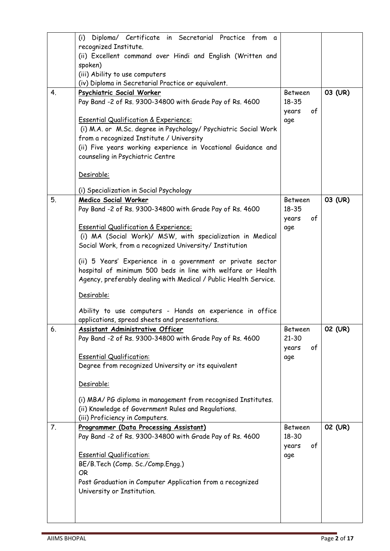|    | (i) Diploma/ Certificate in Secretarial Practice from a          |                |         |
|----|------------------------------------------------------------------|----------------|---------|
|    | recognized Institute.                                            |                |         |
|    | (ii) Excellent command over Hindi and English (Written and       |                |         |
|    | spoken)                                                          |                |         |
|    | (iii) Ability to use computers                                   |                |         |
|    | (iv) Diploma in Secretarial Practice or equivalent.              |                |         |
| 4. | Psychiatric Social Worker                                        | Between        | 03 (UR) |
|    | Pay Band -2 of Rs. 9300-34800 with Grade Pay of Rs. 4600         | $18 - 35$      |         |
|    |                                                                  | of<br>years    |         |
|    | <b>Essential Qualification &amp; Experience:</b>                 | age            |         |
|    | (i) M.A. or M.Sc. degree in Psychology/ Psychiatric Social Work  |                |         |
|    | from a recognized Institute / University                         |                |         |
|    | (ii) Five years working experience in Vocational Guidance and    |                |         |
|    | counseling in Psychiatric Centre                                 |                |         |
|    |                                                                  |                |         |
|    | Desirable:                                                       |                |         |
|    | (i) Specialization in Social Psychology                          |                |         |
| 5. | <b>Medico Social Worker</b>                                      | Between        | 03 (UR) |
|    | Pay Band -2 of Rs. 9300-34800 with Grade Pay of Rs. 4600         | 18-35          |         |
|    |                                                                  | of<br>years    |         |
|    | <b>Essential Qualification &amp; Experience:</b>                 | age            |         |
|    | (i) MA (Social Work)/ MSW, with specialization in Medical        |                |         |
|    | Social Work, from a recognized University/ Institution           |                |         |
|    |                                                                  |                |         |
|    | (ii) 5 Years' Experience in a government or private sector       |                |         |
|    | hospital of minimum 500 beds in line with welfare or Health      |                |         |
|    | Agency, preferably dealing with Medical / Public Health Service. |                |         |
|    | Desirable:                                                       |                |         |
|    |                                                                  |                |         |
|    | Ability to use computers - Hands on experience in office         |                |         |
|    | applications, spread sheets and presentations.                   |                |         |
| 6. | <b>Assistant Administrative Officer</b>                          | Between        | 02 (UR) |
|    | Pay Band -2 of Rs. 9300-34800 with Grade Pay of Rs. 4600         | $21 - 30$      |         |
|    |                                                                  | of<br>years    |         |
|    | <b>Essential Qualification:</b>                                  | age            |         |
|    | Degree from recognized University or its equivalent              |                |         |
|    | Desirable:                                                       |                |         |
|    |                                                                  |                |         |
|    | (i) MBA/PG diploma in management from recognised Institutes.     |                |         |
|    | (ii) Knowledge of Government Rules and Regulations.              |                |         |
|    | (iii) Proficiency in Computers.                                  |                |         |
| 7. | Programmer (Data Processing Assistant)                           | <b>Between</b> | 02 (UR) |
|    | Pay Band -2 of Rs. 9300-34800 with Grade Pay of Rs. 4600         | 18-30          |         |
|    |                                                                  | of<br>years    |         |
|    | <b>Essential Qualification:</b>                                  | age            |         |
|    | BE/B.Tech (Comp. Sc./Comp.Engg.)                                 |                |         |
|    | <b>OR</b>                                                        |                |         |
|    | Post Graduation in Computer Application from a recognized        |                |         |
|    | University or Institution.                                       |                |         |
|    |                                                                  |                |         |
|    |                                                                  |                |         |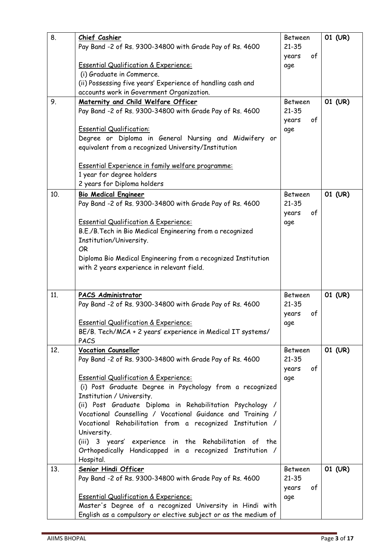| 8.  | Chief Cashier                                                                                                               | Between        | 01 (UR) |
|-----|-----------------------------------------------------------------------------------------------------------------------------|----------------|---------|
|     | Pay Band -2 of Rs. 9300-34800 with Grade Pay of Rs. 4600                                                                    | $21 - 35$      |         |
|     |                                                                                                                             | of<br>years    |         |
|     | <b>Essential Qualification &amp; Experience:</b>                                                                            | age            |         |
|     | (i) Graduate in Commerce.                                                                                                   |                |         |
|     | (ii) Possessing five years' Experience of handling cash and                                                                 |                |         |
|     | accounts work in Government Organization.                                                                                   |                |         |
| 9.  | Maternity and Child Welfare Officer                                                                                         | <b>Between</b> | 01 (UR) |
|     | Pay Band -2 of Rs. 9300-34800 with Grade Pay of Rs. 4600                                                                    | $21 - 35$      |         |
|     |                                                                                                                             | of<br>years    |         |
|     | <b>Essential Qualification:</b>                                                                                             | age            |         |
|     | Degree or Diploma in General Nursing and Midwifery or                                                                       |                |         |
|     | equivalent from a recognized University/Institution                                                                         |                |         |
|     | <b>Essential Experience in family welfare programme:</b>                                                                    |                |         |
|     | 1 year for degree holders                                                                                                   |                |         |
|     | 2 years for Diploma holders                                                                                                 |                |         |
| 10. | <b>Bio Medical Engineer</b>                                                                                                 | Between        | 01 (UR) |
|     | Pay Band -2 of Rs. 9300-34800 with Grade Pay of Rs. 4600                                                                    | $21 - 35$      |         |
|     |                                                                                                                             | of<br>years    |         |
|     | <b>Essential Qualification &amp; Experience:</b>                                                                            | age            |         |
|     | B.E./B. Tech in Bio Medical Engineering from a recognized                                                                   |                |         |
|     | Institution/University.                                                                                                     |                |         |
|     | <b>OR</b>                                                                                                                   |                |         |
|     | Diploma Bio Medical Engineering from a recognized Institution                                                               |                |         |
|     | with 2 years experience in relevant field.                                                                                  |                |         |
|     |                                                                                                                             |                |         |
|     |                                                                                                                             |                |         |
|     |                                                                                                                             |                |         |
| 11. | PACS Administrator                                                                                                          | Between        | 01 (UR) |
|     | Pay Band -2 of Rs. 9300-34800 with Grade Pay of Rs. 4600                                                                    | $21 - 35$      |         |
|     |                                                                                                                             | of<br>years    |         |
|     | <b>Essential Qualification &amp; Experience:</b>                                                                            | age            |         |
|     | BE/B. Tech/MCA + 2 years' experience in Medical IT systems/                                                                 |                |         |
|     | PACS                                                                                                                        |                |         |
| 12. | <b>Vocation Counsellor</b>                                                                                                  | <b>Between</b> | 01 (UR) |
|     | Pay Band -2 of Rs. 9300-34800 with Grade Pay of Rs. 4600                                                                    | $21 - 35$      |         |
|     |                                                                                                                             | years<br>of    |         |
|     | <b>Essential Qualification &amp; Experience:</b>                                                                            | age            |         |
|     | (i) Post Graduate Degree in Psychology from a recognized                                                                    |                |         |
|     | Institution / University.                                                                                                   |                |         |
|     | (ii) Post Graduate Diploma in Rehabilitation Psychology /                                                                   |                |         |
|     | Vocational Counselling / Vocational Guidance and Training /<br>Vocational Rehabilitation from a recognized Institution /    |                |         |
|     | University.                                                                                                                 |                |         |
|     | (iii) 3 years' experience in the Rehabilitation of the                                                                      |                |         |
|     | Orthopedically Handicapped in a recognized Institution /                                                                    |                |         |
|     | Hospital.                                                                                                                   |                |         |
| 13. | Senior Hindi Officer                                                                                                        | Between        | 01 (UR) |
|     | Pay Band -2 of Rs. 9300-34800 with Grade Pay of Rs. 4600                                                                    | $21 - 35$      |         |
|     |                                                                                                                             | of<br>years    |         |
|     | <b>Essential Qualification &amp; Experience:</b>                                                                            | age            |         |
|     | Master's Degree of a recognized University in Hindi with<br>English as a compulsory or elective subject or as the medium of |                |         |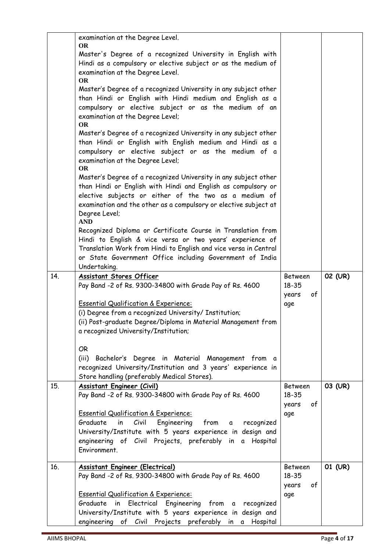|     | examination at the Degree Level.<br><b>OR</b><br>Master's Degree of a recognized University in English with<br>Hindi as a compulsory or elective subject or as the medium of<br>examination at the Degree Level.<br><b>OR</b><br>Master's Degree of a recognized University in any subject other<br>than Hindi or English with Hindi medium and English as a<br>compulsory or elective subject or as the medium of an<br>examination at the Degree Level;<br><b>OR</b><br>Master's Degree of a recognized University in any subject other<br>than Hindi or English with English medium and Hindi as a<br>compulsory or elective subject or as the medium of a<br>examination at the Degree Level;<br><b>OR</b><br>Master's Degree of a recognized University in any subject other<br>than Hindi or English with Hindi and English as compulsory or |                                               |         |
|-----|----------------------------------------------------------------------------------------------------------------------------------------------------------------------------------------------------------------------------------------------------------------------------------------------------------------------------------------------------------------------------------------------------------------------------------------------------------------------------------------------------------------------------------------------------------------------------------------------------------------------------------------------------------------------------------------------------------------------------------------------------------------------------------------------------------------------------------------------------|-----------------------------------------------|---------|
|     | elective subjects or either of the two as a medium of<br>examination and the other as a compulsory or elective subject at<br>Degree Level;<br><b>AND</b>                                                                                                                                                                                                                                                                                                                                                                                                                                                                                                                                                                                                                                                                                           |                                               |         |
|     | Recognized Diploma or Certificate Course in Translation from<br>Hindi to English & vice versa or two years' experience of<br>Translation Work from Hindi to English and vice versa in Central<br>or State Government Office including Government of India<br>Undertaking.                                                                                                                                                                                                                                                                                                                                                                                                                                                                                                                                                                          |                                               |         |
| 14. | <b>Assistant Stores Officer</b><br>Pay Band -2 of Rs. 9300-34800 with Grade Pay of Rs. 4600<br><b>Essential Qualification &amp; Experience:</b><br>(i) Degree from a recognized University/ Institution;<br>(ii) Post-graduate Degree/Diploma in Material Management from<br>a recognized University/Institution;                                                                                                                                                                                                                                                                                                                                                                                                                                                                                                                                  | Between<br>$18 - 35$<br>of<br>years<br>age    | 02 (UR) |
|     | <b>OR</b><br>(iii) Bachelor's Degree in Material Management from a<br>recognized University/Institution and 3 years' experience in<br>Store handling (preferably Medical Stores).                                                                                                                                                                                                                                                                                                                                                                                                                                                                                                                                                                                                                                                                  |                                               |         |
| 15. | <b>Assistant Engineer (Civil)</b><br>Pay Band -2 of Rs. 9300-34800 with Grade Pay of Rs. 4600<br><b>Essential Qualification &amp; Experience:</b><br>Graduate<br>Civil<br>Engineering from<br>in<br>recognized<br>$\alpha$<br>University/Institute with 5 years experience in design and<br>engineering of Civil Projects, preferably in a Hospital<br>Environment.                                                                                                                                                                                                                                                                                                                                                                                                                                                                                | Between<br>$18 - 35$<br>years<br>of<br>age    | 03 (UR) |
| 16. | <b>Assistant Engineer (Electrical)</b><br>Pay Band -2 of Rs. 9300-34800 with Grade Pay of Rs. 4600<br><b>Essential Qualification &amp; Experience:</b><br>Graduate in Electrical Engineering from a<br>recognized<br>University/Institute with 5 years experience in design and<br>engineering of Civil Projects preferably in a Hospital                                                                                                                                                                                                                                                                                                                                                                                                                                                                                                          | <b>Between</b><br>18-35<br>years<br>of<br>age | 01 (UR) |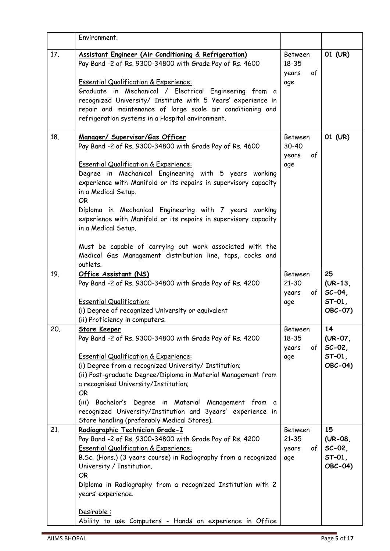|     | Environment.                                                                                                                                                                                                                                                                                                                                                                                                                                                                                                                                                                                             |                                                         |                                                  |
|-----|----------------------------------------------------------------------------------------------------------------------------------------------------------------------------------------------------------------------------------------------------------------------------------------------------------------------------------------------------------------------------------------------------------------------------------------------------------------------------------------------------------------------------------------------------------------------------------------------------------|---------------------------------------------------------|--------------------------------------------------|
| 17. | Assistant Engineer (Air Conditioning & Refrigeration)<br>Pay Band -2 of Rs. 9300-34800 with Grade Pay of Rs. 4600<br><b>Essential Qualification &amp; Experience:</b><br>Graduate in Mechanical / Electrical Engineering from a<br>recognized University/ Institute with 5 Years' experience in<br>repair and maintenance of large scale air conditioning and<br>refrigeration systems in a Hospital environment.                                                                                                                                                                                        | Between<br>$18 - 35$<br>of<br>years<br>age              | 01 (UR)                                          |
| 18. | Manager/ Supervisor/Gas Officer<br>Pay Band -2 of Rs. 9300-34800 with Grade Pay of Rs. 4600<br><b>Essential Qualification &amp; Experience:</b><br>Degree in Mechanical Engineering with 5 years working<br>experience with Manifold or its repairs in supervisory capacity<br>in a Medical Setup.<br><b>OR</b><br>Diploma in Mechanical Engineering with 7 years working<br>experience with Manifold or its repairs in supervisory capacity<br>in a Medical Setup.<br>Must be capable of carrying out work associated with the<br>Medical Gas Management distribution line, taps, cocks and<br>outlets. | Between<br>$30 - 40$<br>of<br>years<br>age              | 01 (UR)                                          |
| 19. | Office Assistant (NS)<br>Pay Band -2 of Rs. 9300-34800 with Grade Pay of Rs. 4200<br><b>Essential Qualification:</b><br>(i) Degree of recognized University or equivalent<br>(ii) Proficiency in computers.                                                                                                                                                                                                                                                                                                                                                                                              | Between<br>$21 - 30$<br>of <sub>1</sub><br>years<br>age | 25<br>$(UR-13)$<br>$SC-04$<br>$ST-01$<br>OBC-07) |
| 20. | <b>Store Keeper</b><br>Pay Band -2 of Rs. 9300-34800 with Grade Pay of Rs. 4200<br><b>Essential Qualification &amp; Experience:</b><br>(i) Degree from a recognized University/ Institution;<br>(ii) Post-graduate Degree/Diploma in Material Management from<br>a recognised University/Institution;<br><b>OR</b><br>(iii)<br>Bachelor's Degree in Material Management from a<br>recognized University/Institution and 3years' experience in<br>Store handling (preferably Medical Stores).                                                                                                             | Between<br>$18 - 35$<br>$of \sqrt{}$<br>years<br>age    | 14<br>(UR-07,<br>$SC-02$<br>$ST-01$ ,<br>OBC-04) |
| 21. | Radiographic Technician Grade-I<br>Pay Band -2 of Rs. 9300-34800 with Grade Pay of Rs. 4200<br><b>Essential Qualification &amp; Experience:</b><br>B.Sc. (Hons.) (3 years course) in Radiography from a recognized<br>University / Institution.<br><b>OR</b><br>Diploma in Radiography from a recognized Institution with 2<br>years' experience.<br>Desirable:<br>Ability to use Computers - Hands on experience in Office                                                                                                                                                                              | <b>Between</b><br>$21 - 35$<br>of<br>years<br>age       | 15<br>$(UR-08)$<br>$SC-02$<br>$ST-01$<br>OBC-04) |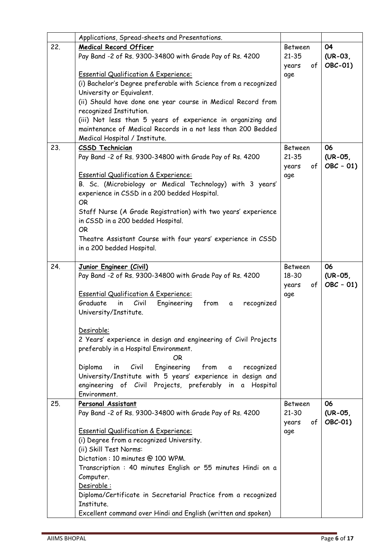|     | Applications, Spread-sheets and Presentations.                               |                  |               |
|-----|------------------------------------------------------------------------------|------------------|---------------|
| 22. | <b>Medical Record Officer</b>                                                | Between          | 04            |
|     | Pay Band -2 of Rs. 9300-34800 with Grade Pay of Rs. 4200                     | $21 - 35$        | $(UR-03)$     |
|     |                                                                              | years<br>of      | OBC-01)       |
|     | <b>Essential Qualification &amp; Experience:</b>                             | age              |               |
|     | (i) Bachelor's Degree preferable with Science from a recognized              |                  |               |
|     | University or Equivalent.                                                    |                  |               |
|     | (ii) Should have done one year course in Medical Record from                 |                  |               |
|     | recognized Institution.                                                      |                  |               |
|     | (iii) Not less than 5 years of experience in organizing and                  |                  |               |
|     | maintenance of Medical Records in a not less than 200 Bedded                 |                  |               |
|     | Medical Hospital / Institute.                                                |                  |               |
| 23. | <b>CSSD Technician</b>                                                       | <b>Between</b>   | 06            |
|     | Pay Band -2 of Rs. 9300-34800 with Grade Pay of Rs. 4200                     | $21 - 35$        | $(UR-05)$     |
|     |                                                                              | of<br>years      | $OBC - 01$    |
|     | <b>Essential Qualification &amp; Experience:</b>                             | age              |               |
|     | B. Sc. (Microbiology or Medical Technology) with 3 years'                    |                  |               |
|     | experience in CSSD in a 200 bedded Hospital.                                 |                  |               |
|     | OR.                                                                          |                  |               |
|     | Staff Nurse (A Grade Registration) with two years' experience                |                  |               |
|     | in CSSD in a 200 bedded Hospital.                                            |                  |               |
|     | OR.                                                                          |                  |               |
|     | Theatre Assistant Course with four years' experience in CSSD                 |                  |               |
|     | in a 200 bedded Hospital.                                                    |                  |               |
|     |                                                                              |                  |               |
| 24. | Junior Engineer (Civil)                                                      | Between<br>18-30 | 06<br>(UR-05, |
|     | Pay Band -2 of Rs. 9300-34800 with Grade Pay of Rs. 4200                     | of               | $OBC - 01$    |
|     | <b>Essential Qualification &amp; Experience:</b>                             | years            |               |
|     | Graduate<br>Civil<br>from<br>in<br>Engineering<br>recognized<br>a            | age              |               |
|     | University/Institute.                                                        |                  |               |
|     |                                                                              |                  |               |
|     | Desirable:                                                                   |                  |               |
|     | 2 Years' experience in design and engineering of Civil Projects              |                  |               |
|     | preferably in a Hospital Environment.                                        |                  |               |
|     | <b>OR</b>                                                                    |                  |               |
|     | Engineering<br>Civil<br>Diploma<br>from<br>recognized<br>in<br>$\mathfrak a$ |                  |               |
|     | University/Institute with 5 years' experience in design and                  |                  |               |
|     | engineering of Civil Projects, preferably in a Hospital                      |                  |               |
|     | Environment.                                                                 |                  |               |
| 25. | Personal Assistant                                                           | <b>Between</b>   | 06            |
|     | Pay Band -2 of Rs. 9300-34800 with Grade Pay of Rs. 4200                     | $21 - 30$        | (UR-05,       |
|     |                                                                              | of<br>years      | OBC-01)       |
|     | <b>Essential Qualification &amp; Experience:</b>                             | age              |               |
|     | (i) Degree from a recognized University.                                     |                  |               |
|     | (ii) Skill Test Norms:                                                       |                  |               |
|     | Dictation: 10 minutes @ 100 WPM.                                             |                  |               |
|     | Transcription: 40 minutes English or 55 minutes Hindi on a                   |                  |               |
|     | Computer.                                                                    |                  |               |
|     | Desirable:                                                                   |                  |               |
|     | Diploma/Certificate in Secretarial Practice from a recognized                |                  |               |
|     | Institute.                                                                   |                  |               |
|     | Excellent command over Hindi and English (written and spoken)                |                  |               |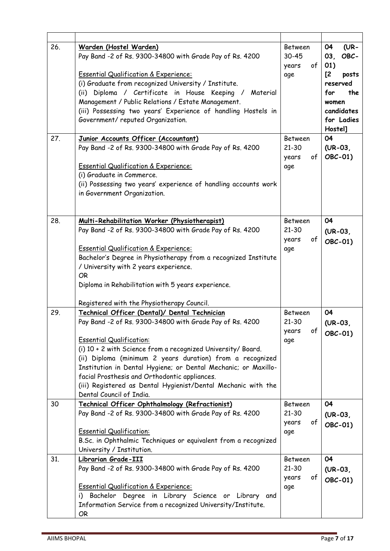| 26. | Warden (Hostel Warden)<br>Pay Band -2 of Rs. 9300-34800 with Grade Pay of Rs. 4200<br><b>Essential Qualification &amp; Experience:</b><br>(i) Graduate from recognized University / Institute.<br>(ii) Diploma / Certificate in House Keeping / Material<br>Management / Public Relations / Estate Management.<br>(iii) Possessing two years' Experience of handling Hostels in<br>Government/ reputed Organization.                                                                      | <b>Between</b><br>30-45<br>years<br>of<br>age     | 04<br>$(UR -$<br>OBC-<br>03 <sub>l</sub><br>01)<br>$\mathsf{Z}$<br>posts<br>reserved<br>for<br>the<br>women<br>candidates<br>for Ladies<br>Hostel] |
|-----|-------------------------------------------------------------------------------------------------------------------------------------------------------------------------------------------------------------------------------------------------------------------------------------------------------------------------------------------------------------------------------------------------------------------------------------------------------------------------------------------|---------------------------------------------------|----------------------------------------------------------------------------------------------------------------------------------------------------|
| 27. | Junior Accounts Officer (Accountant)<br>Pay Band -2 of Rs. 9300-34800 with Grade Pay of Rs. 4200<br><b>Essential Qualification &amp; Experience:</b><br>(i) Graduate in Commerce.<br>(ii) Possessing two years' experience of handling accounts work<br>in Government Organization.                                                                                                                                                                                                       | <b>Between</b><br>$21 - 30$<br>years<br>of<br>age | 04<br>$(UR-03)$<br>OBC-01)                                                                                                                         |
| 28. | Multi-Rehabilitation Worker (Physiotherapist)<br>Pay Band -2 of Rs. 9300-34800 with Grade Pay of Rs. 4200<br><b>Essential Qualification &amp; Experience:</b><br>Bachelor's Degree in Physiotherapy from a recognized Institute<br>/ University with 2 years experience.<br><b>OR</b><br>Diploma in Rehabilitation with 5 years experience.                                                                                                                                               | <b>Between</b><br>$21 - 30$<br>of<br>years<br>age | 04<br>$(UR-03)$<br>OBC-01)                                                                                                                         |
|     | Registered with the Physiotherapy Council.                                                                                                                                                                                                                                                                                                                                                                                                                                                |                                                   |                                                                                                                                                    |
| 29. | Technical Officer (Dental)/ Dental Technician<br>Pay Band -2 of Rs. 9300-34800 with Grade Pay of Rs. 4200<br><b>Essential Qualification:</b><br>(i) 10 + 2 with Science from a recognized University/ Board.<br>(ii) Diploma (minimum 2 years duration) from a recognized<br>Institution in Dental Hygiene; or Dental Mechanic; or Maxillo-<br>facial Prosthesis and Orthodontic appliances.<br>(iii) Registered as Dental Hygienist/Dental Mechanic with the<br>Dental Council of India. | <b>Between</b><br>21-30<br>of<br>years<br>age     | 04<br>$(UR-03)$<br>OBC-01)                                                                                                                         |
| 30  | Technical Officer Ophthalmology (Refractionist)<br>Pay Band -2 of Rs. 9300-34800 with Grade Pay of Rs. 4200<br><b>Essential Qualification:</b><br>B.Sc. in Ophthalmic Techniques or equivalent from a recognized<br>University / Institution.                                                                                                                                                                                                                                             | <b>Between</b><br>$21 - 30$<br>of<br>years<br>age | 04<br>$(UR-03)$<br>OBC-01)                                                                                                                         |
| 31. | Librarian Grade-III<br>Pay Band -2 of Rs. 9300-34800 with Grade Pay of Rs. 4200<br><b>Essential Qualification &amp; Experience:</b><br>i) Bachelor Degree in Library Science or Library and<br>Information Service from a recognized University/Institute.<br>OR                                                                                                                                                                                                                          | Between<br>$21 - 30$<br>of<br>years<br>age        | 04<br>$(UR-03)$<br>OBC-01)                                                                                                                         |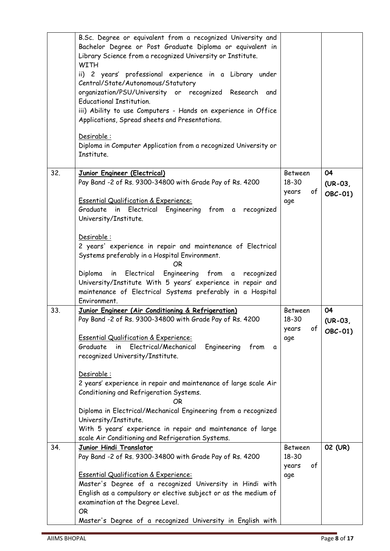|     | B.Sc. Degree or equivalent from a recognized University and<br>Bachelor Degree or Post Graduate Diploma or equivalent in<br>Library Science from a recognized University or Institute.<br><b>WITH</b><br>ii) 2 years' professional experience in a Library under<br>Central/State/Autonomous/Statutory<br>organization/PSU/University or recognized Research<br>and<br><b>Educational Institution.</b><br>iii) Ability to use Computers - Hands on experience in Office<br>Applications, Spread sheets and Presentations.<br>Desirable:<br>Diploma in Computer Application from a recognized University or<br>Institute.        |                                               |                            |
|-----|---------------------------------------------------------------------------------------------------------------------------------------------------------------------------------------------------------------------------------------------------------------------------------------------------------------------------------------------------------------------------------------------------------------------------------------------------------------------------------------------------------------------------------------------------------------------------------------------------------------------------------|-----------------------------------------------|----------------------------|
| 32. | Junior Engineer (Electrical)<br>Pay Band -2 of Rs. 9300-34800 with Grade Pay of Rs. 4200<br><b>Essential Qualification &amp; Experience:</b><br>Graduate in Electrical Engineering from a recognized<br>University/Institute.<br>Desirable:<br>2 years' experience in repair and maintenance of Electrical<br>Systems preferably in a Hospital Environment.<br>OR.<br>Engineering from a recognized<br>Electrical<br>Diploma<br>in<br>University/Institute With 5 years' experience in repair and<br>maintenance of Electrical Systems preferably in a Hospital<br>Environment.                                                 | Between<br>18-30<br>of<br>years<br>age        | 04<br>$(UR-03)$<br>OBC-01) |
| 33. | Junior Engineer (Air Conditioning & Refrigeration)<br>Pay Band -2 of Rs. 9300-34800 with Grade Pay of Rs. 4200<br><b>Essential Qualification &amp; Experience:</b><br>Graduate<br>Electrical/Mechanical<br>Engineering<br>in<br>from<br>a<br>recognized University/Institute.<br>Desirable:<br>2 years' experience in repair and maintenance of large scale Air<br>Conditioning and Refrigeration Systems.<br>ΟR<br>Diploma in Electrical/Mechanical Engineering from a recognized<br>University/Institute.<br>With 5 years' experience in repair and maintenance of large<br>scale Air Conditioning and Refrigeration Systems. | <b>Between</b><br>18-30<br>of<br>years<br>age | 04<br>$(UR-03)$<br>OBC-01) |
| 34. | Junior Hindi Translator<br>Pay Band -2 of Rs. 9300-34800 with Grade Pay of Rs. 4200<br><b>Essential Qualification &amp; Experience:</b><br>Master's Degree of a recognized University in Hindi with<br>English as a compulsory or elective subject or as the medium of<br>examination at the Degree Level.<br><b>OR</b><br>Master's Degree of a recognized University in English with                                                                                                                                                                                                                                           | Between<br>18-30<br>of<br>years<br>age        | 02 (UR)                    |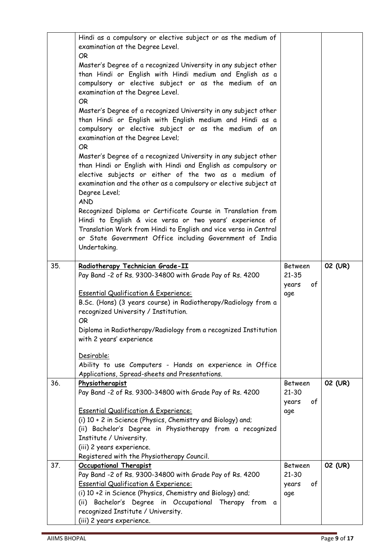|     | Hindi as a compulsory or elective subject or as the medium of<br>examination at the Degree Level.                                                                                                                                                                                       |                             |         |
|-----|-----------------------------------------------------------------------------------------------------------------------------------------------------------------------------------------------------------------------------------------------------------------------------------------|-----------------------------|---------|
|     | OR.                                                                                                                                                                                                                                                                                     |                             |         |
|     | Master's Degree of a recognized University in any subject other<br>than Hindi or English with Hindi medium and English as a<br>compulsory or elective subject or as the medium of an<br>examination at the Degree Level.<br><b>OR</b>                                                   |                             |         |
|     | Master's Degree of a recognized University in any subject other<br>than Hindi or English with English medium and Hindi as a<br>compulsory or elective subject or as the medium of an<br>examination at the Degree Level;<br><b>OR</b>                                                   |                             |         |
|     | Master's Degree of a recognized University in any subject other<br>than Hindi or English with Hindi and English as compulsory or<br>elective subjects or either of the two as a medium of<br>examination and the other as a compulsory or elective subject at<br>Degree Level;          |                             |         |
|     | <b>AND</b><br>Recognized Diploma or Certificate Course in Translation from<br>Hindi to English & vice versa or two years' experience of<br>Translation Work from Hindi to English and vice versa in Central<br>or State Government Office including Government of India<br>Undertaking. |                             |         |
| 35. |                                                                                                                                                                                                                                                                                         | Between                     |         |
|     | Radiotherapy Technician Grade-II<br>Pay Band -2 of Rs. 9300-34800 with Grade Pay of Rs. 4200                                                                                                                                                                                            | $21 - 35$<br>years<br>of    | 02 (UR) |
|     | <b>Essential Qualification &amp; Experience:</b>                                                                                                                                                                                                                                        | age                         |         |
|     | B.Sc. (Hons) (3 years course) in Radiotherapy/Radiology from a<br>recognized University / Institution.                                                                                                                                                                                  |                             |         |
|     | <b>OR</b><br>Diploma in Radiotherapy/Radiology from a recognized Institution<br>with 2 years' experience                                                                                                                                                                                |                             |         |
|     | Desirable:<br>Ability to use Computers - Hands on experience in Office<br>Applications, Spread-sheets and Presentations.                                                                                                                                                                |                             |         |
| 36. | Physiotherapist<br>Pay Band -2 of Rs. 9300-34800 with Grade Pay of Rs. 4200                                                                                                                                                                                                             | <b>Between</b><br>$21 - 30$ | 02 (UR) |
|     | <b>Essential Qualification &amp; Experience:</b><br>(i) 10 + 2 in Science (Physics, Chemistry and Biology) and;                                                                                                                                                                         | years<br>of<br>age          |         |
|     | (ii) Bachelor's Degree in Physiotherapy from a recognized<br>Institute / University.<br>(iii) 2 years experience.                                                                                                                                                                       |                             |         |
| 37. | Registered with the Physiotherapy Council.<br><b>Occupational Therapist</b>                                                                                                                                                                                                             | <b>Between</b><br>$21 - 30$ | 02 (UR) |
|     | Pay Band -2 of Rs. 9300-34800 with Grade Pay of Rs. 4200<br><b>Essential Qualification &amp; Experience:</b><br>(i) 10 +2 in Science (Physics, Chemistry and Biology) and;<br>(ii) Bachelor's Degree in Occupational Therapy from a                                                     | of<br>years<br>age          |         |
|     | recognized Institute / University.<br>(iii) 2 years experience.                                                                                                                                                                                                                         |                             |         |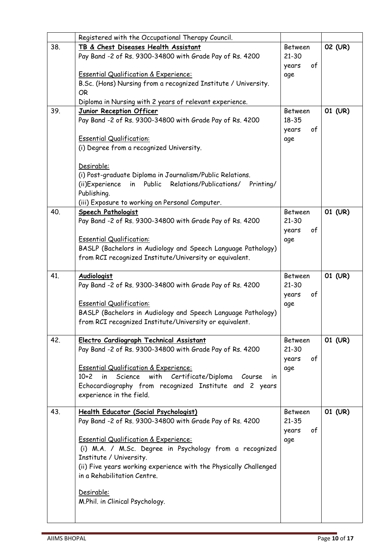|     | Registered with the Occupational Therapy Council.                           |                      |         |
|-----|-----------------------------------------------------------------------------|----------------------|---------|
| 38. | TB & Chest Diseases Health Assistant                                        | <b>Between</b>       | 02 (UR) |
|     | Pay Band -2 of Rs. 9300-34800 with Grade Pay of Rs. 4200                    | $21 - 30$            |         |
|     |                                                                             | years<br>of          |         |
|     | <b>Essential Qualification &amp; Experience:</b>                            | age                  |         |
|     | B.Sc. (Hons) Nursing from a recognized Institute / University.              |                      |         |
|     | <b>OR</b>                                                                   |                      |         |
|     | Diploma in Nursing with 2 years of relevant experience.                     |                      |         |
| 39. | Junior Reception Officer                                                    | <b>Between</b>       | 01 (UR) |
|     | Pay Band -2 of Rs. 9300-34800 with Grade Pay of Rs. 4200                    | $18 - 35$            |         |
|     |                                                                             | of<br>years          |         |
|     | <b>Essential Qualification:</b><br>(i) Degree from a recognized University. | age                  |         |
|     |                                                                             |                      |         |
|     | Desirable:                                                                  |                      |         |
|     | (i) Post-graduate Diploma in Journalism/Public Relations.                   |                      |         |
|     | in Public Relations/Publications/ Printing/<br>(ii)Experience               |                      |         |
|     | Publishing.                                                                 |                      |         |
|     | (iii) Exposure to working on Personal Computer.                             |                      |         |
| 40. | Speech Pathologist                                                          | <b>Between</b>       | 01 (UR) |
|     | Pay Band -2 of Rs. 9300-34800 with Grade Pay of Rs. 4200                    | $21 - 30$            |         |
|     |                                                                             | of<br>years          |         |
|     | <b>Essential Qualification:</b>                                             | age                  |         |
|     | BASLP (Bachelors in Audiology and Speech Language Pathology)                |                      |         |
|     | from RCI recognized Institute/University or equivalent.                     |                      |         |
|     |                                                                             |                      |         |
| 41. | Audiologist<br>Pay Band -2 of Rs. 9300-34800 with Grade Pay of Rs. 4200     | Between<br>$21 - 30$ | 01 (UR) |
|     |                                                                             | of<br>years          |         |
|     | <b>Essential Qualification:</b>                                             | age                  |         |
|     | BASLP (Bachelors in Audiology and Speech Language Pathology)                |                      |         |
|     | from RCI recognized Institute/University or equivalent.                     |                      |         |
|     |                                                                             |                      |         |
| 42. | Electro Cardiograph Technical Assistant                                     | Between              | 01 (UR) |
|     | Pay Band -2 of Rs. 9300-34800 with Grade Pay of Rs. 4200                    | $21 - 30$            |         |
|     |                                                                             | 0f<br>years          |         |
|     | <b>Essential Qualification &amp; Experience:</b>                            | age                  |         |
|     | Science with Certificate/Diploma Course<br>$10+2$<br>in l<br>$\mathsf{I}$   |                      |         |
|     | Echocardiography from recognized Institute and 2 years                      |                      |         |
|     | experience in the field.                                                    |                      |         |
| 43. | Health Educator (Social Psychologist)                                       | <b>Between</b>       | 01 (UR) |
|     | Pay Band -2 of Rs. 9300-34800 with Grade Pay of Rs. 4200                    | $21 - 35$            |         |
|     |                                                                             | 0f<br>years          |         |
|     | <b>Essential Qualification &amp; Experience:</b>                            | age                  |         |
|     | (i) M.A. / M.Sc. Degree in Psychology from a recognized                     |                      |         |
|     | Institute / University.                                                     |                      |         |
|     | (ii) Five years working experience with the Physically Challenged           |                      |         |
|     | in a Rehabilitation Centre.                                                 |                      |         |
|     | Desirable:                                                                  |                      |         |
|     | M.Phil. in Clinical Psychology.                                             |                      |         |
|     |                                                                             |                      |         |
|     |                                                                             |                      |         |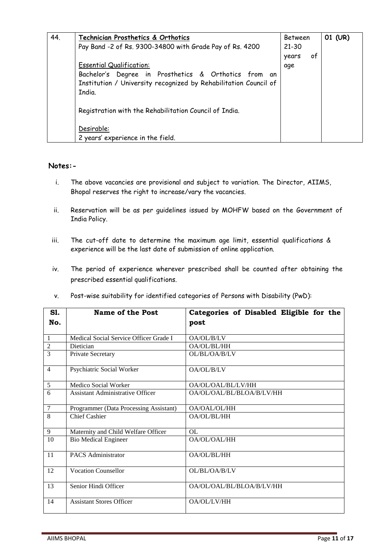| 44. | Technician Prosthetics & Orthotics                               | <b>Between</b> |    | 01 (UR) |
|-----|------------------------------------------------------------------|----------------|----|---------|
|     | Pay Band -2 of Rs. 9300-34800 with Grade Pay of Rs. 4200         | $21 - 30$      |    |         |
|     |                                                                  | years          | of |         |
|     | <b>Essential Qualification:</b>                                  | age            |    |         |
|     | Bachelor's Degree in Prosthetics & Orthotics from an             |                |    |         |
|     | Institution / University recognized by Rehabilitation Council of |                |    |         |
|     | India.                                                           |                |    |         |
|     | Registration with the Rehabilitation Council of India.           |                |    |         |
|     | Desirable:                                                       |                |    |         |
|     | 2 years' experience in the field.                                |                |    |         |

#### **Notes:-**

- i. The above vacancies are provisional and subject to variation. The Director, AIIMS, Bhopal reserves the right to increase/vary the vacancies.
- ii. Reservation will be as per guidelines issued by MOHFW based on the Government of India Policy.
- iii. The cut-off date to determine the maximum age limit, essential qualifications & experience will be the last date of submission of online application.
- iv. The period of experience wherever prescribed shall be counted after obtaining the prescribed essential qualifications.
- v. Post-wise suitability for identified categories of Persons with Disability (PwD):

| <b>S1.</b>     | <b>Name of the Post</b>                 | Categories of Disabled Eligible for the |  |
|----------------|-----------------------------------------|-----------------------------------------|--|
| No.            |                                         | post                                    |  |
|                |                                         |                                         |  |
| $\mathbf{1}$   | Medical Social Service Officer Grade I  | OA/OL/B/LV                              |  |
| $\overline{2}$ | Dietician                               | OA/OL/BL/HH                             |  |
| 3              | Private Secretary                       | OL/BL/OA/B/LV                           |  |
| $\overline{4}$ | Psychiatric Social Worker               | OA/OL/B/LV                              |  |
| 5              | Medico Social Worker                    | OA/OL/OAL/BL/LV/HH                      |  |
| 6              | <b>Assistant Administrative Officer</b> | OA/OL/OAL/BL/BLOA/B/LV/HH               |  |
| $\overline{7}$ | Programmer (Data Processing Assistant)  | OA/OAL/OL/HH                            |  |
| 8              | <b>Chief Cashier</b>                    | OA/OL/BL/HH                             |  |
| 9              | Maternity and Child Welfare Officer     | OL                                      |  |
| 10             | <b>Bio Medical Engineer</b>             | OA/OL/OAL/HH                            |  |
| 11             | <b>PACS Administrator</b>               | OA/OL/BL/HH                             |  |
| 12             | <b>Vocation Counsellor</b>              | OL/BL/OA/B/LV                           |  |
| 13             | Senior Hindi Officer                    | OA/OL/OAL/BL/BLOA/B/LV/HH               |  |
| 14             | <b>Assistant Stores Officer</b>         | OA/OL/LV/HH                             |  |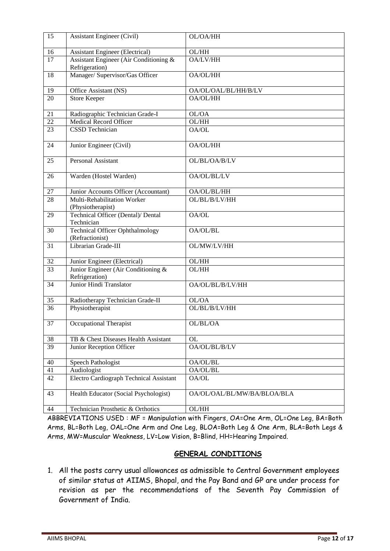| 15               | <b>Assistant Engineer (Civil)</b>                         | OL/OA/HH                    |
|------------------|-----------------------------------------------------------|-----------------------------|
| 16               | <b>Assistant Engineer (Electrical)</b>                    | OL/HH                       |
| 17               | Assistant Engineer (Air Conditioning &<br>Refrigeration)  | OA/LV/HH                    |
| 18               | Manager/ Supervisor/Gas Officer                           | OA/OL/HH                    |
| 19               | Office Assistant (NS)                                     | OA/OL/OAL/BL/HH/B/LV        |
| 20               | <b>Store Keeper</b>                                       | OA/OL/HH                    |
| 21               | Radiographic Technician Grade-I                           | OL/OA                       |
| $\overline{22}$  | <b>Medical Record Officer</b>                             | OL/HH                       |
| 23               | <b>CSSD</b> Technician                                    | OA/OL                       |
| 24               | Junior Engineer (Civil)                                   | OA/OL/HH                    |
| 25               | <b>Personal Assistant</b>                                 | OL/BL/OA/B/LV               |
| 26               | Warden (Hostel Warden)                                    | OA/OL/BL/LV                 |
| 27               | Junior Accounts Officer (Accountant)                      | OA/OL/BL/HH                 |
| 28               | Multi-Rehabilitation Worker<br>(Physiotherapist)          | OL/BL/B/LV/HH               |
| 29               | Technical Officer (Dental)/ Dental<br>Technician          | OA/OL                       |
| 30               | <b>Technical Officer Ophthalmology</b><br>(Refractionist) | OA/OL/BL                    |
| 31               | Librarian Grade-III                                       | OL/MW/LV/HH                 |
| 32               | Junior Engineer (Electrical)                              | OL/HH                       |
| $\overline{33}$  | Junior Engineer (Air Conditioning &<br>Refrigeration)     | OL/HH                       |
| 34               | Junior Hindi Translator                                   | OA/OL/BL/B/LV/HH            |
| 35               | Radiotherapy Technician Grade-II                          | OL/OA                       |
| $\overline{36}$  | Physiotherapist                                           | OL/BL/B/LV/HH               |
| $\overline{37}$  | Occupational Therapist                                    | OL/BL/OA                    |
| 38               | TB & Chest Diseases Health Assistant                      | <b>OL</b>                   |
| 39               | Junior Reception Officer                                  | OA/OL/BL/B/LV               |
| 40               | Speech Pathologist                                        | OA/OL/BL                    |
| 41               | Audiologist                                               | OA/OL/BL                    |
| 42               | <b>Electro Cardiograph Technical Assistant</b>            | OA/OL                       |
| 43               | Health Educator (Social Psychologist)                     | OA/OL/OAL/BL/MW/BA/BLOA/BLA |
| $44\overline{1}$ | Technician Prosthetic & Orthotics                         | $OL/HH$                     |

ABBREVIATIONS USED : MF = Manipulation with Fingers, OA=One Arm, OL=One Leg, BA=Both Arms, BL=Both Leg, OAL=One Arm and One Leg, BLOA=Both Leg & One Arm, BLA=Both Legs & Arms, MW=Muscular Weakness, LV=Low Vision, B=Blind, HH=Hearing Impaired.

### **GENERAL CONDITIONS**

1. All the posts carry usual allowances as admissible to Central Government employees of similar status at AIIMS, Bhopal, and the Pay Band and GP are under process for revision as per the recommendations of the Seventh Pay Commission of Government of India.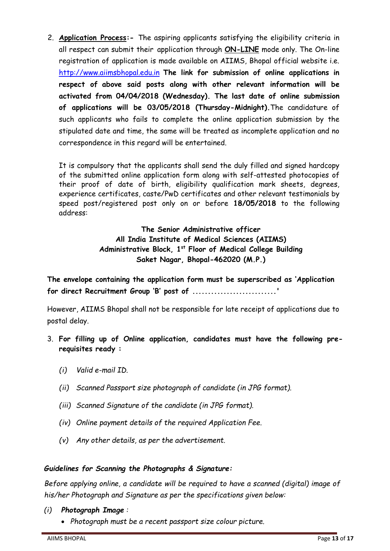2. **Application Process:-** The aspiring applicants satisfying the eligibility criteria in all respect can submit their application through **ON-LINE** mode only. The On-line registration of application is made available on AIIMS, Bhopal official website i.e. http://www.aiimsbhopal.edu.in **The link for submission of online applications in respect of above said posts along with other relevant information will be activated from 04/04/2018 (Wednesday). The last date of online submission of applications will be 03/05/2018 (Thursday-Midnight).**The candidature of such applicants who fails to complete the online application submission by the stipulated date and time, the same will be treated as incomplete application and no correspondence in this regard will be entertained.

It is compulsory that the applicants shall send the duly filled and signed hardcopy of the submitted online application form along with self-attested photocopies of their proof of date of birth, eligibility qualification mark sheets, degrees, experience certificates, caste/PwD certificates and other relevant testimonials by speed post/registered post only on or before **18/05/2018** to the following address:

> **The Senior Administrative officer All India Institute of Medical Sciences (AIIMS) Administrative Block, 1st Floor of Medical College Building Saket Nagar, Bhopal-462020 (M.P.)**

**The envelope containing the application form must be superscribed as 'Application for direct Recruitment Group 'B' post of ...........................'**

However, AIIMS Bhopal shall not be responsible for late receipt of applications due to postal delay.

- 3. **For filling up of Online application, candidates must have the following prerequisites ready :** 
	- *(i) Valid e-mail ID.*
	- *(ii) Scanned Passport size photograph of candidate (in JPG format).*
	- *(iii) Scanned Signature of the candidate (in JPG format).*
	- *(iv) Online payment details of the required Application Fee.*
	- *(v) Any other details, as per the advertisement.*

### *Guidelines for Scanning the Photographs & Signature:*

*Before applying online, a candidate will be required to have a scanned (digital) image of his/her Photograph and Signature as per the specifications given below:*

### *(i) Photograph Image :*

*Photograph must be a recent passport size colour picture.*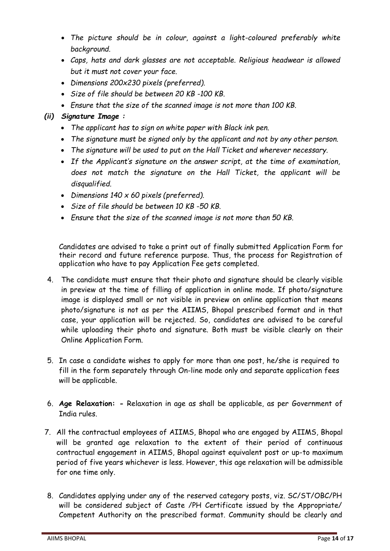- *The picture should be in colour, against a light-coloured preferably white background.*
- *Caps, hats and dark glasses are not acceptable. Religious headwear is allowed but it must not cover your face.*
- *Dimensions 200x230 pixels (preferred).*
- *Size of file should be between 20 KB -100 KB.*
- *Ensure that the size of the scanned image is not more than 100 KB.*

## *(ii) Signature Image :*

- *The applicant has to sign on white paper with Black ink pen.*
- *The signature must be signed only by the applicant and not by any other person.*
- *The signature will be used to put on the Hall Ticket and wherever necessary.*
- *If the Applicant's signature on the answer script, at the time of examination, does not match the signature on the Hall Ticket, the applicant will be disqualified.*
- *Dimensions 140 x 60 pixels (preferred).*
- *Size of file should be between 10 KB -50 KB.*
- *Ensure that the size of the scanned image is not more than 50 KB.*

Candidates are advised to take a print out of finally submitted Application Form for their record and future reference purpose. Thus, the process for Registration of application who have to pay Application Fee gets completed.

- 4. The candidate must ensure that their photo and signature should be clearly visible in preview at the time of filling of application in online mode. If photo/signature image is displayed small or not visible in preview on online application that means photo/signature is not as per the AIIMS, Bhopal prescribed format and in that case, your application will be rejected. So, candidates are advised to be careful while uploading their photo and signature. Both must be visible clearly on their Online Application Form.
- 5. In case a candidate wishes to apply for more than one post, he/she is required to fill in the form separately through On-line mode only and separate application fees will be applicable.
- 6. **Age Relaxation: -** Relaxation in age as shall be applicable, as per Government of India rules.
- 7. All the contractual employees of AIIMS, Bhopal who are engaged by AIIMS, Bhopal will be granted age relaxation to the extent of their period of continuous contractual engagement in AIIMS, Bhopal against equivalent post or up-to maximum period of five years whichever is less. However, this age relaxation will be admissible for one time only.
- 8. Candidates applying under any of the reserved category posts, viz. SC/ST/OBC/PH will be considered subject of Caste /PH Certificate issued by the Appropriate/ Competent Authority on the prescribed format. Community should be clearly and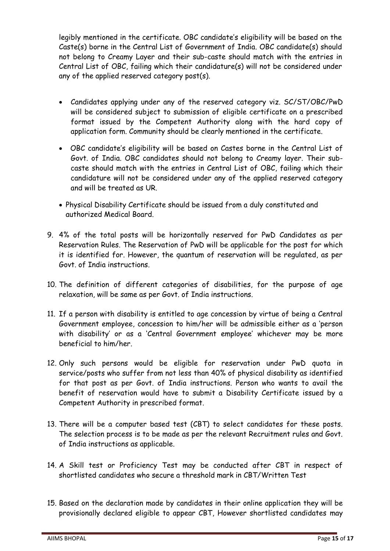legibly mentioned in the certificate. OBC candidate's eligibility will be based on the Caste(s) borne in the Central List of Government of India. OBC candidate(s) should not belong to Creamy Layer and their sub-caste should match with the entries in Central List of OBC, failing which their candidature(s) will not be considered under any of the applied reserved category post(s).

- Candidates applying under any of the reserved category viz. SC/ST/OBC/PwD will be considered subject to submission of eligible certificate on a prescribed format issued by the Competent Authority along with the hard copy of application form. Community should be clearly mentioned in the certificate.
- OBC candidate's eligibility will be based on Castes borne in the Central List of Govt. of India. OBC candidates should not belong to Creamy layer. Their subcaste should match with the entries in Central List of OBC, failing which their candidature will not be considered under any of the applied reserved category and will be treated as UR.
- Physical Disability Certificate should be issued from a duly constituted and authorized Medical Board.
- 9. 4% of the total posts will be horizontally reserved for PwD Candidates as per Reservation Rules. The Reservation of PwD will be applicable for the post for which it is identified for. However, the quantum of reservation will be regulated, as per Govt. of India instructions.
- 10. The definition of different categories of disabilities, for the purpose of age relaxation, will be same as per Govt. of India instructions.
- 11. If a person with disability is entitled to age concession by virtue of being a Central Government employee, concession to him/her will be admissible either as a 'person with disability' or as a 'Central Government employee' whichever may be more beneficial to him/her.
- 12. Only such persons would be eligible for reservation under PwD quota in service/posts who suffer from not less than 40% of physical disability as identified for that post as per Govt. of India instructions. Person who wants to avail the benefit of reservation would have to submit a Disability Certificate issued by a Competent Authority in prescribed format.
- 13. There will be a computer based test (CBT) to select candidates for these posts. The selection process is to be made as per the relevant Recruitment rules and Govt. of India instructions as applicable.
- 14. A Skill test or Proficiency Test may be conducted after CBT in respect of shortlisted candidates who secure a threshold mark in CBT/Written Test
- 15. Based on the declaration made by candidates in their online application they will be provisionally declared eligible to appear CBT, However shortlisted candidates may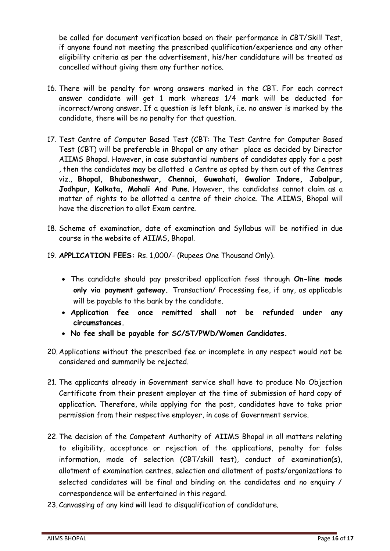be called for document verification based on their performance in CBT/Skill Test, if anyone found not meeting the prescribed qualification/experience and any other eligibility criteria as per the advertisement, his/her candidature will be treated as cancelled without giving them any further notice.

- 16. There will be penalty for wrong answers marked in the CBT. For each correct answer candidate will get 1 mark whereas 1/4 mark will be deducted for incorrect/wrong answer. If a question is left blank, i.e. no answer is marked by the candidate, there will be no penalty for that question.
- 17. Test Centre of Computer Based Test (CBT: The Test Centre for Computer Based Test (CBT) will be preferable in Bhopal or any other place as decided by Director AIIMS Bhopal. However, in case substantial numbers of candidates apply for a post , then the candidates may be allotted a Centre as opted by them out of the Centres viz., **Bhopal, Bhubaneshwar, Chennai, Guwahati, Gwalior Indore, Jabalpur, Jodhpur, Kolkata, Mohali And Pune**. However, the candidates cannot claim as a matter of rights to be allotted a centre of their choice. The AIIMS, Bhopal will have the discretion to allot Exam centre.
- 18. Scheme of examination, date of examination and Syllabus will be notified in due course in the website of AIIMS, Bhopal.
- 19. **APPLICATION FEES:** Rs. 1,000/- (Rupees One Thousand Only).
	- The candidate should pay prescribed application fees through **On-line mode only via payment gateway.** Transaction/ Processing fee, if any, as applicable will be payable to the bank by the candidate.
	- **Application fee once remitted shall not be refunded under any circumstances.**
	- **No fee shall be payable for SC/ST/PWD/Women Candidates.**
- 20. Applications without the prescribed fee or incomplete in any respect would not be considered and summarily be rejected.
- 21. The applicants already in Government service shall have to produce No Objection Certificate from their present employer at the time of submission of hard copy of application. Therefore, while applying for the post, candidates have to take prior permission from their respective employer, in case of Government service.
- 22.The decision of the Competent Authority of AIIMS Bhopal in all matters relating to eligibility, acceptance or rejection of the applications, penalty for false information, mode of selection (CBT/skill test), conduct of examination(s), allotment of examination centres, selection and allotment of posts/organizations to selected candidates will be final and binding on the candidates and no enquiry / correspondence will be entertained in this regard.
- 23. Canvassing of any kind will lead to disqualification of candidature.